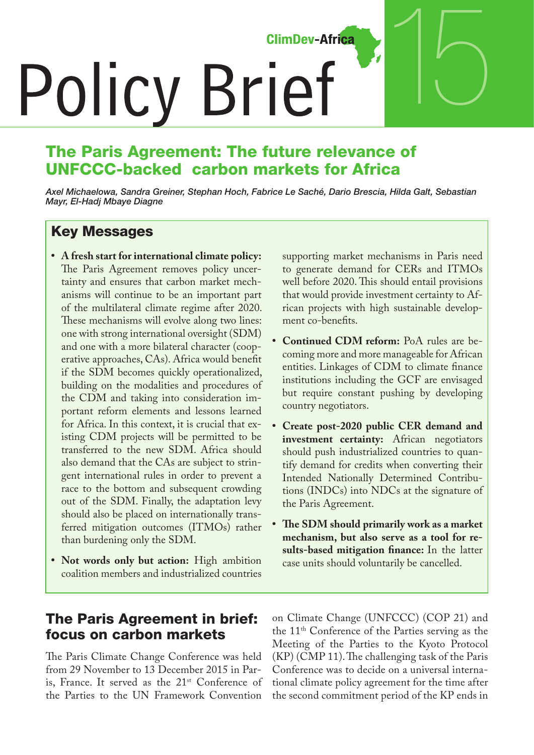**ClimDev-Africa** 

# **Policy Brief**

# The Paris Agreement: The future relevance of UNFCCC-backed carbon markets for Africa

*Axel Michaelowa, Sandra Greiner, Stephan Hoch, Fabrice Le Saché, Dario Brescia, Hilda Galt, Sebastian Mayr, El-Hadj Mbaye Diagne*

### Key Messages

- **• A fresh start for international climate policy:** The Paris Agreement removes policy uncertainty and ensures that carbon market mechanisms will continue to be an important part of the multilateral climate regime after 2020. These mechanisms will evolve along two lines: one with strong international oversight (SDM) and one with a more bilateral character (cooperative approaches, CAs). Africa would benefit if the SDM becomes quickly operationalized, building on the modalities and procedures of the CDM and taking into consideration important reform elements and lessons learned for Africa. In this context, it is crucial that existing CDM projects will be permitted to be transferred to the new SDM. Africa should also demand that the CAs are subject to stringent international rules in order to prevent a race to the bottom and subsequent crowding out of the SDM. Finally, the adaptation levy should also be placed on internationally transferred mitigation outcomes (ITMOs) rather than burdening only the SDM.
- **• Not words only but action:** High ambition coalition members and industrialized countries

supporting market mechanisms in Paris need to generate demand for CERs and ITMOs well before 2020. This should entail provisions that would provide investment certainty to African projects with high sustainable development co-benefits.

15

- **• Continued CDM reform:** PoA rules are becoming more and more manageable for African entities. Linkages of CDM to climate finance institutions including the GCF are envisaged but require constant pushing by developing country negotiators.
- **• Create post-2020 public CER demand and investment certainty:** African negotiators should push industrialized countries to quantify demand for credits when converting their Intended Nationally Determined Contributions (INDCs) into NDCs at the signature of the Paris Agreement.
- **• The SDM should primarily work as a market mechanism, but also serve as a tool for results-based mitigation finance:** In the latter case units should voluntarily be cancelled.

### The Paris Agreement in brief: focus on carbon markets

The Paris Climate Change Conference was held from 29 November to 13 December 2015 in Paris, France. It served as the 21<sup>st</sup> Conference of the Parties to the UN Framework Convention

on Climate Change (UNFCCC) (COP 21) and the 11<sup>th</sup> Conference of the Parties serving as the Meeting of the Parties to the Kyoto Protocol (KP) (CMP 11). The challenging task of the Paris Conference was to decide on a universal international climate policy agreement for the time after the second commitment period of the KP ends in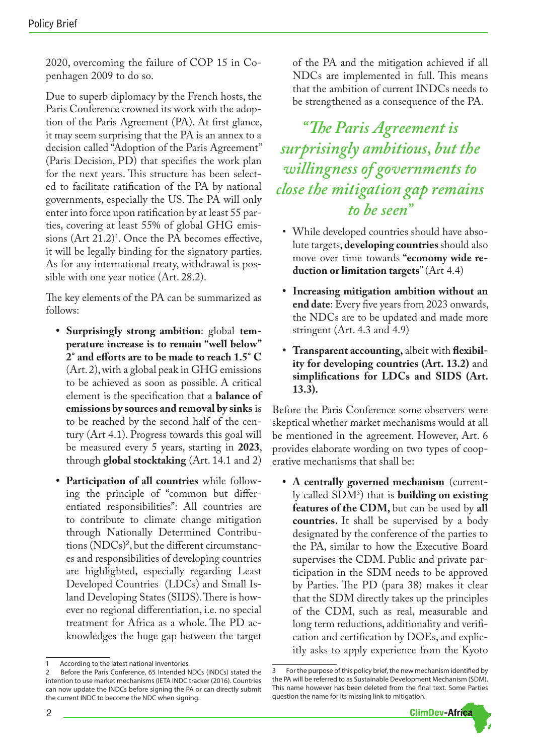2020, overcoming the failure of COP 15 in Copenhagen 2009 to do so.

Due to superb diplomacy by the French hosts, the Paris Conference crowned its work with the adoption of the Paris Agreement (PA). At first glance, it may seem surprising that the PA is an annex to a decision called "Adoption of the Paris Agreement" (Paris Decision, PD) that specifies the work plan for the next years. This structure has been selected to facilitate ratification of the PA by national governments, especially the US. The PA will only enter into force upon ratification by at least 55 parties, covering at least 55% of global GHG emissions (Art 21.2)<sup>1</sup>. Once the PA becomes effective, it will be legally binding for the signatory parties. As for any international treaty, withdrawal is possible with one year notice (Art. 28.2).

The key elements of the PA can be summarized as follows:

- **• Surprisingly strong ambition**: global **temperature increase is to remain "well below" 2° and efforts are to be made to reach 1.5° C**  (Art. 2), with a global peak in GHG emissions to be achieved as soon as possible. A critical element is the specification that a **balance of emissions by sources and removal by sinks** is to be reached by the second half of the century (Art 4.1). Progress towards this goal will be measured every 5 years, starting in **2023**, through **global stocktaking** (Art. 14.1 and 2)
- **• Participation of all countries** while following the principle of "common but differentiated responsibilities": All countries are to contribute to climate change mitigation through Nationally Determined Contributions (NDCs)<sup>2</sup> , but the different circumstances and responsibilities of developing countries are highlighted, especially regarding Least Developed Countries (LDCs) and Small Island Developing States (SIDS). There is however no regional differentiation, i.e. no special treatment for Africa as a whole. The PD acknowledges the huge gap between the target

of the PA and the mitigation achieved if all NDCs are implemented in full. This means that the ambition of current INDCs needs to be strengthened as a consequence of the PA.

*"The Paris Agreement is surprisingly ambitious, but the willingness of governments to close the mitigation gap remains to be seen"*

- While developed countries should have absolute targets, **developing countries** should also move over time towards **"economy wide reduction or limitation targets**" (Art 4.4)
- **• Increasing mitigation ambition without an end date**: Every five years from 2023 onwards, the NDCs are to be updated and made more stringent (Art. 4.3 and 4.9)
- **Transparent accounting, albeit with flexibility for developing countries (Art. 13.2)** and **simplifications for LDCs and SIDS (Art. 13.3).**

Before the Paris Conference some observers were skeptical whether market mechanisms would at all be mentioned in the agreement. However, Art. 6 provides elaborate wording on two types of cooperative mechanisms that shall be:

**• A centrally governed mechanism** (currently called SDM3 ) that is **building on existing features of the CDM,** but can be used by **all countries.** It shall be supervised by a body designated by the conference of the parties to the PA, similar to how the Executive Board supervises the CDM. Public and private participation in the SDM needs to be approved by Parties. The PD (para 38) makes it clear that the SDM directly takes up the principles of the CDM, such as real, measurable and long term reductions, additionality and verification and certification by DOEs, and explicitly asks to apply experience from the Kyoto

<sup>3</sup> For the purpose of this policy brief, the new mechanism identified by the PA will be referred to as Sustainable Development Mechanism (SDM). This name however has been deleted from the final text. Some Parties question the name for its missing link to mitigation.



According to the latest national inventories.

<sup>2</sup> Before the Paris Conference, 65 Intended NDCs (INDCs) stated the intention to use market mechanisms (IETA INDC tracker (2016). Countries can now update the INDCs before signing the PA or can directly submit the current INDC to become the NDC when signing.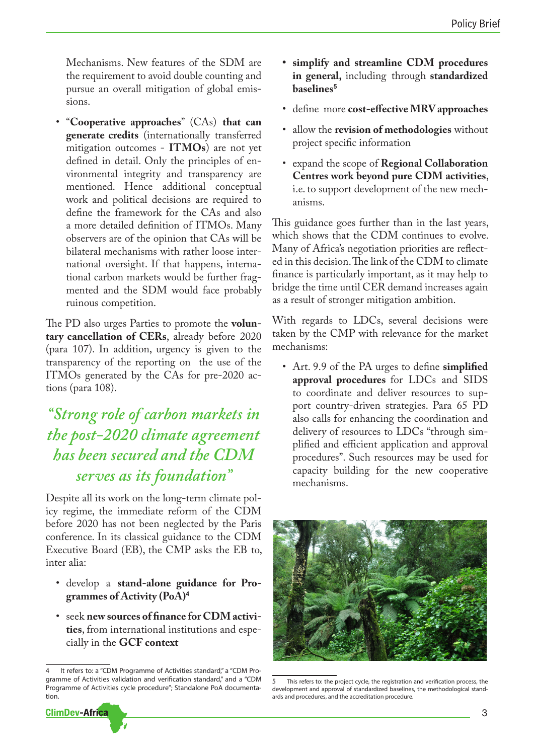Mechanisms. New features of the SDM are the requirement to avoid double counting and pursue an overall mitigation of global emissions.

• "**Cooperative approaches**" (CAs) **that can generate credits** (internationally transferred mitigation outcomes - **ITMOs**) are not yet defined in detail. Only the principles of environmental integrity and transparency are mentioned. Hence additional conceptual work and political decisions are required to define the framework for the CAs and also a more detailed definition of ITMOs. Many observers are of the opinion that CAs will be bilateral mechanisms with rather loose international oversight. If that happens, international carbon markets would be further fragmented and the SDM would face probably ruinous competition.

The PD also urges Parties to promote the **voluntary cancellation of CERs**, already before 2020 (para 107). In addition, urgency is given to the transparency of the reporting on the use of the ITMOs generated by the CAs for pre-2020 actions (para 108).

# *"Strong role of carbon markets in the post-2020 climate agreement has been secured and the CDM serves as its foundation"*

Despite all its work on the long-term climate policy regime, the immediate reform of the CDM before 2020 has not been neglected by the Paris conference. In its classical guidance to the CDM Executive Board (EB), the CMP asks the EB to, inter alia:

- develop a **stand-alone guidance for Programmes of Activity (PoA)<sup>4</sup>**
- seek **new sources of finance for CDM activities**, from international institutions and especially in the **GCF context**

It refers to: a "CDM Programme of Activities standard," a "CDM Programme of Activities validation and verification standard," and a "CDM Programme of Activities cycle procedure"; Standalone PoA documentation.



- **• simplify and streamline CDM procedures in general,** including through **standardized baselines<sup>5</sup>**
- define more **cost-effective MRV approaches**
- allow the **revision of methodologies** without project specific information
- expand the scope of **Regional Collaboration Centres work beyond pure CDM activities**, i.e. to support development of the new mechanisms.

This guidance goes further than in the last years, which shows that the CDM continues to evolve. Many of Africa's negotiation priorities are reflected in this decision. The link of the CDM to climate finance is particularly important, as it may help to bridge the time until CER demand increases again as a result of stronger mitigation ambition.

With regards to LDCs, several decisions were taken by the CMP with relevance for the market mechanisms:

• Art. 9.9 of the PA urges to define **simplified approval procedures** for LDCs and SIDS to coordinate and deliver resources to support country-driven strategies. Para 65 PD also calls for enhancing the coordination and delivery of resources to LDCs "through simplified and efficient application and approval procedures". Such resources may be used for capacity building for the new cooperative mechanisms.



5 This refers to: the project cycle, the registration and verification process, the development and approval of standardized baselines, the methodological standards and procedures, and the accreditation procedure.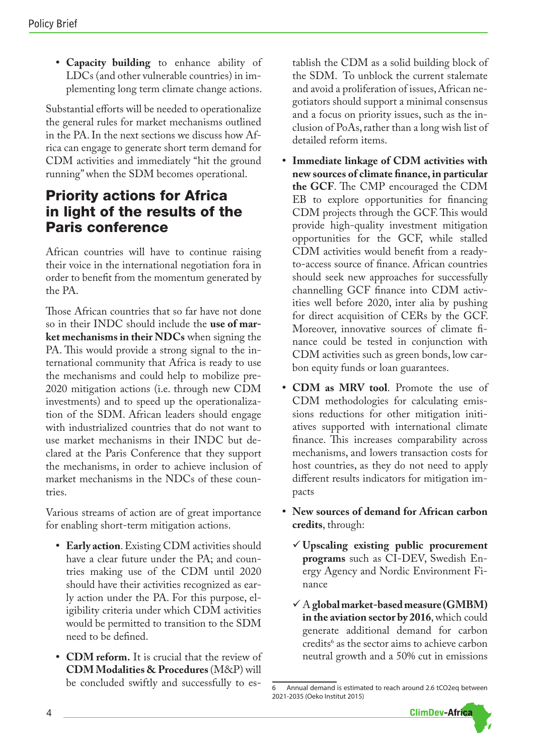**• Capacity building** to enhance ability of LDCs (and other vulnerable countries) in implementing long term climate change actions.

Substantial efforts will be needed to operationalize the general rules for market mechanisms outlined in the PA. In the next sections we discuss how Africa can engage to generate short term demand for CDM activities and immediately "hit the ground running" when the SDM becomes operational.

## Priority actions for Africa in light of the results of the Paris conference

African countries will have to continue raising their voice in the international negotiation fora in order to benefit from the momentum generated by the PA.

Those African countries that so far have not done so in their INDC should include the **use of market mechanisms in their NDCs** when signing the PA. This would provide a strong signal to the international community that Africa is ready to use the mechanisms and could help to mobilize pre-2020 mitigation actions (i.e. through new CDM investments) and to speed up the operationalization of the SDM. African leaders should engage with industrialized countries that do not want to use market mechanisms in their INDC but declared at the Paris Conference that they support the mechanisms, in order to achieve inclusion of market mechanisms in the NDCs of these countries.

Various streams of action are of great importance for enabling short-term mitigation actions.

- **• Early action**. Existing CDM activities should have a clear future under the PA; and countries making use of the CDM until 2020 should have their activities recognized as early action under the PA. For this purpose, eligibility criteria under which CDM activities would be permitted to transition to the SDM need to be defined.
- **• CDM reform.** It is crucial that the review of **CDM Modalities & Procedures** (M&P) will be concluded swiftly and successfully to es-

tablish the CDM as a solid building block of the SDM. To unblock the current stalemate and avoid a proliferation of issues, African negotiators should support a minimal consensus and a focus on priority issues, such as the inclusion of PoAs, rather than a long wish list of detailed reform items.

- **• Immediate linkage of CDM activities with new sources of climate finance, in particular the GCF**. The CMP encouraged the CDM EB to explore opportunities for financing CDM projects through the GCF. This would provide high-quality investment mitigation opportunities for the GCF, while stalled CDM activities would benefit from a readyto-access source of finance. African countries should seek new approaches for successfully channelling GCF finance into CDM activities well before 2020, inter alia by pushing for direct acquisition of CERs by the GCF. Moreover, innovative sources of climate finance could be tested in conjunction with CDM activities such as green bonds, low carbon equity funds or loan guarantees.
- **• CDM as MRV tool**. Promote the use of CDM methodologies for calculating emissions reductions for other mitigation initiatives supported with international climate finance. This increases comparability across mechanisms, and lowers transaction costs for host countries, as they do not need to apply different results indicators for mitigation impacts
- **• New sources of demand for African carbon credits**, through:
	- ü **Upscaling existing public procurement programs** such as CI-DEV, Swedish Energy Agency and Nordic Environment Finance
	- $\checkmark$  A global market-based measure (GMBM) **in the aviation sector by 2016**, which could generate additional demand for carbon credits<sup>6</sup> as the sector aims to achieve carbon neutral growth and a 50% cut in emissions

<sup>6</sup> Annual demand is estimated to reach around 2.6 tCO2eq between 2021-2035 (Oeko Institut 2015)

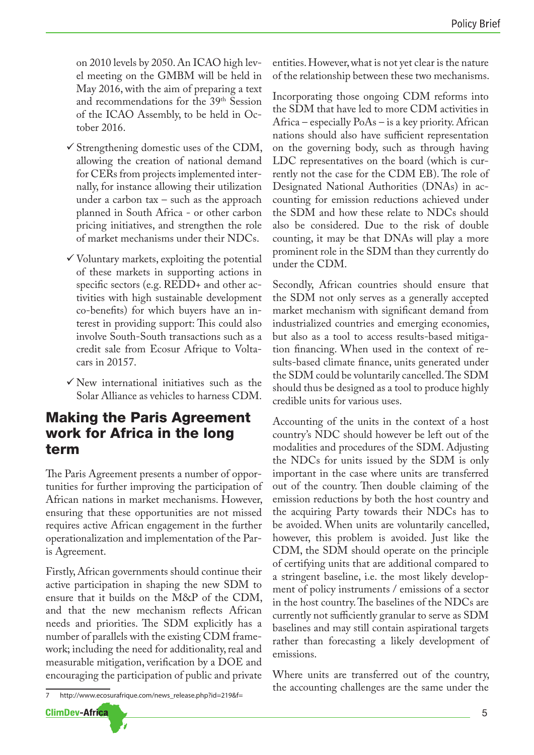on 2010 levels by 2050. An ICAO high level meeting on the GMBM will be held in May 2016, with the aim of preparing a text and recommendations for the 39<sup>th</sup> Session of the ICAO Assembly, to be held in October 2016.

- $\checkmark$  Strengthening domestic uses of the CDM, allowing the creation of national demand for CERs from projects implemented internally, for instance allowing their utilization under a carbon tax – such as the approach planned in South Africa - or other carbon pricing initiatives, and strengthen the role of market mechanisms under their NDCs.
- $\checkmark$  Voluntary markets, exploiting the potential of these markets in supporting actions in specific sectors (e.g. REDD+ and other activities with high sustainable development co-benefits) for which buyers have an interest in providing support: This could also involve South-South transactions such as a credit sale from Ecosur Afrique to Voltacars in 20157.
- $\checkmark$  New international initiatives such as the Solar Alliance as vehicles to harness CDM.

### Making the Paris Agreement work for Africa in the long term

The Paris Agreement presents a number of opportunities for further improving the participation of African nations in market mechanisms. However, ensuring that these opportunities are not missed requires active African engagement in the further operationalization and implementation of the Paris Agreement.

Firstly, African governments should continue their active participation in shaping the new SDM to ensure that it builds on the M&P of the CDM, and that the new mechanism reflects African needs and priorities. The SDM explicitly has a number of parallels with the existing CDM framework; including the need for additionality, real and measurable mitigation, verification by a DOE and encouraging the participation of public and private entities. However, what is not yet clear is the nature of the relationship between these two mechanisms.

Incorporating those ongoing CDM reforms into the SDM that have led to more CDM activities in Africa – especially PoAs – is a key priority. African nations should also have sufficient representation on the governing body, such as through having LDC representatives on the board (which is currently not the case for the CDM EB). The role of Designated National Authorities (DNAs) in accounting for emission reductions achieved under the SDM and how these relate to NDCs should also be considered. Due to the risk of double counting, it may be that DNAs will play a more prominent role in the SDM than they currently do under the CDM.

Secondly, African countries should ensure that the SDM not only serves as a generally accepted market mechanism with significant demand from industrialized countries and emerging economies, but also as a tool to access results-based mitigation financing. When used in the context of results-based climate finance, units generated under the SDM could be voluntarily cancelled. The SDM should thus be designed as a tool to produce highly credible units for various uses.

Accounting of the units in the context of a host country's NDC should however be left out of the modalities and procedures of the SDM. Adjusting the NDCs for units issued by the SDM is only important in the case where units are transferred out of the country. Then double claiming of the emission reductions by both the host country and the acquiring Party towards their NDCs has to be avoided. When units are voluntarily cancelled, however, this problem is avoided. Just like the CDM, the SDM should operate on the principle of certifying units that are additional compared to a stringent baseline, i.e. the most likely development of policy instruments / emissions of a sector in the host country. The baselines of the NDCs are currently not sufficiently granular to serve as SDM baselines and may still contain aspirational targets rather than forecasting a likely development of emissions.

Where units are transferred out of the country, the accounting challenges are the same under the

http://www.ecosurafrique.com/news\_release.php?id=219&f=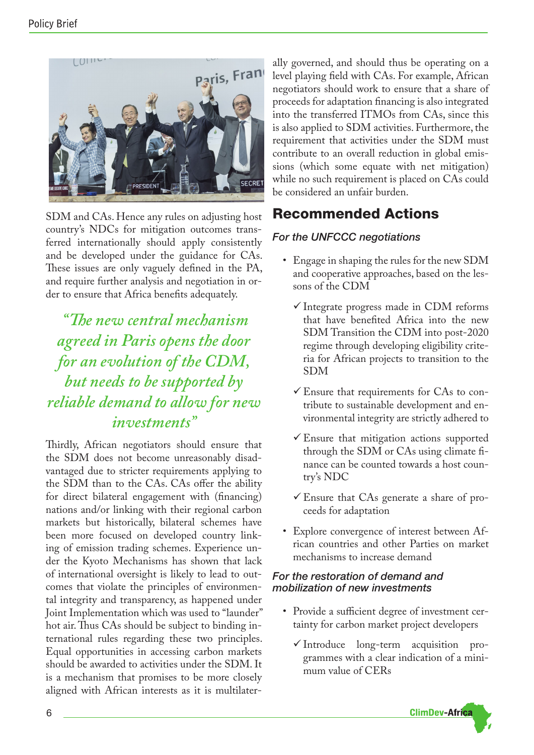

SDM and CAs. Hence any rules on adjusting host country's NDCs for mitigation outcomes transferred internationally should apply consistently and be developed under the guidance for CAs. These issues are only vaguely defined in the PA, and require further analysis and negotiation in order to ensure that Africa benefits adequately.

 *"The new central mechanism agreed in Paris opens the door for an evolution of the CDM, but needs to be supported by reliable demand to allow for new investments"*

Thirdly, African negotiators should ensure that the SDM does not become unreasonably disadvantaged due to stricter requirements applying to the SDM than to the CAs. CAs offer the ability for direct bilateral engagement with (financing) nations and/or linking with their regional carbon markets but historically, bilateral schemes have been more focused on developed country linking of emission trading schemes. Experience under the Kyoto Mechanisms has shown that lack of international oversight is likely to lead to outcomes that violate the principles of environmental integrity and transparency, as happened under Joint Implementation which was used to "launder" hot air. Thus CAs should be subject to binding international rules regarding these two principles. Equal opportunities in accessing carbon markets should be awarded to activities under the SDM. It is a mechanism that promises to be more closely aligned with African interests as it is multilaterally governed, and should thus be operating on a level playing field with CAs. For example, African negotiators should work to ensure that a share of proceeds for adaptation financing is also integrated into the transferred ITMOs from CAs, since this is also applied to SDM activities. Furthermore, the requirement that activities under the SDM must contribute to an overall reduction in global emissions (which some equate with net mitigation) while no such requirement is placed on CAs could be considered an unfair burden.

# Recommended Actions

### *For the UNFCCC negotiations*

- Engage in shaping the rules for the new SDM and cooperative approaches, based on the lessons of the CDM
	- $\checkmark$  Integrate progress made in CDM reforms that have benefited Africa into the new SDM Transition the CDM into post-2020 regime through developing eligibility criteria for African projects to transition to the SDM
	- $\checkmark$  Ensure that requirements for CAs to contribute to sustainable development and environmental integrity are strictly adhered to
	- $\checkmark$  Ensure that mitigation actions supported through the SDM or CAs using climate finance can be counted towards a host country's NDC
	- $\checkmark$  Ensure that CAs generate a share of proceeds for adaptation
- Explore convergence of interest between African countries and other Parties on market mechanisms to increase demand

### *For the restoration of demand and mobilization of new investments*

- Provide a sufficient degree of investment certainty for carbon market project developers
	- $\checkmark$  Introduce long-term acquisition programmes with a clear indication of a minimum value of CERs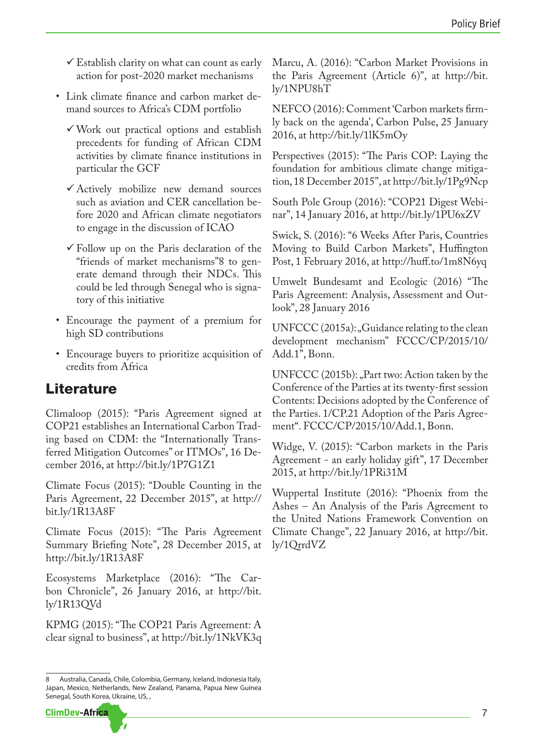- $\checkmark$  Establish clarity on what can count as early action for post-2020 market mechanisms
- Link climate finance and carbon market demand sources to Africa's CDM portfolio
	- $\checkmark$  Work out practical options and establish precedents for funding of African CDM activities by climate finance institutions in particular the GCF
	- $\checkmark$  Actively mobilize new demand sources such as aviation and CER cancellation before 2020 and African climate negotiators to engage in the discussion of ICAO
	- $\checkmark$  Follow up on the Paris declaration of the "friends of market mechanisms"8 to generate demand through their NDCs. This could be led through Senegal who is signatory of this initiative
- Encourage the payment of a premium for high SD contributions
- Encourage buyers to prioritize acquisition of credits from Africa

# Literature

Climaloop (2015): "Paris Agreement signed at COP21 establishes an International Carbon Trading based on CDM: the "Internationally Transferred Mitigation Outcomes" or ITMOs", 16 December 2016, at http://bit.ly/1P7G1Z1

Climate Focus (2015): "Double Counting in the Paris Agreement, 22 December 2015", at http:// bit.ly/1R13A8F

Climate Focus (2015): "The Paris Agreement Summary Briefing Note", 28 December 2015, at http://bit.ly/1R13A8F

Ecosystems Marketplace (2016): "The Carbon Chronicle", 26 January 2016, at http://bit. ly/1R13QVd

KPMG (2015): "The COP21 Paris Agreement: A clear signal to business", at http://bit.ly/1NkVK3q

<sup>8</sup> Australia, Canada, Chile, Colombia, Germany, Iceland, Indonesia Italy, Japan, Mexico, Netherlands, New Zealand, Panama, Papua New Guinea Senegal, South Korea, Ukraine, US, ,



Marcu, A. (2016): "Carbon Market Provisions in the Paris Agreement (Article 6)", at http://bit. ly/1NPU8hT

NEFCO (2016): Comment 'Carbon markets firmly back on the agenda', Carbon Pulse, 25 January 2016, at http://bit.ly/1lK5mOy

Perspectives (2015): "The Paris COP: Laying the foundation for ambitious climate change mitigation, 18 December 2015", at http://bit.ly/1Pg9Ncp

South Pole Group (2016): "COP21 Digest Webinar", 14 January 2016, at http://bit.ly/1PU6xZV

Swick, S. (2016): "6 Weeks After Paris, Countries Moving to Build Carbon Markets", Huffington Post, 1 February 2016, at http://huff.to/1m8N6yq

Umwelt Bundesamt and Ecologic (2016) "The Paris Agreement: Analysis, Assessment and Outlook", 28 January 2016

 $UNFCCC (2015a):$   $_G$ Guidance relating to the clean development mechanism" FCCC/CP/2015/10/ Add.1", Bonn.

UNFCCC (2015b): "Part two: Action taken by the Conference of the Parties at its twenty-first session Contents: Decisions adopted by the Conference of the Parties. 1/CP.21 Adoption of the Paris Agreement". FCCC/CP/2015/10/Add.1, Bonn.

Widge, V. (2015): "Carbon markets in the Paris Agreement - an early holiday gift", 17 December 2015, at http://bit.ly/1PRi31M

Wuppertal Institute (2016): "Phoenix from the Ashes – An Analysis of the Paris Agreement to the United Nations Framework Convention on Climate Change", 22 January 2016, at http://bit. ly/1QrrdVZ